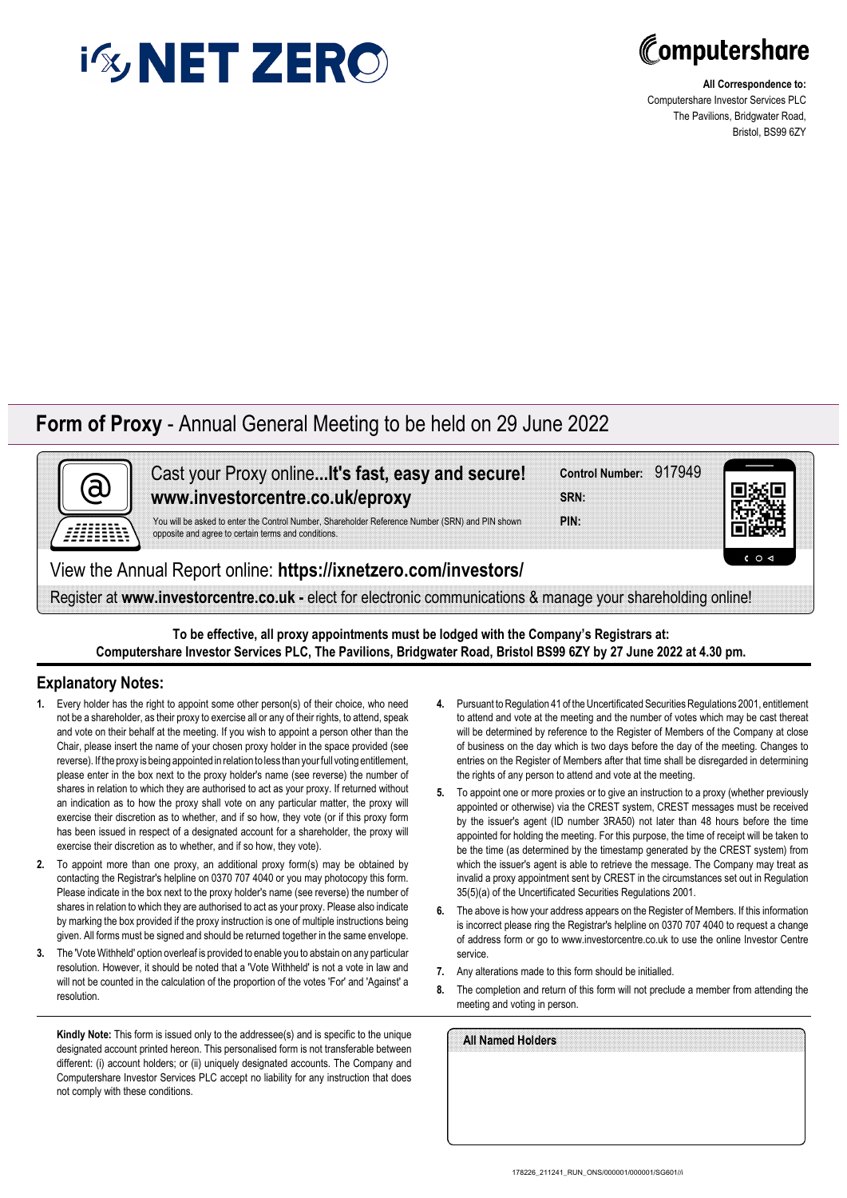



**All Correspondence to:** Computershare Investor Services PLC The Pavilions, Bridgwater Road, Bristol, BS99 6ZY

## **Form of Proxy** - Annual General Meeting to be held on 29 June 2022



Cast your Proxy online**...It's fast, easy and secure! www.investorcentre.co.uk/eproxy**

You will be asked to enter the Control Number, Shareholder Reference Number (SRN) and PIN shown opposite and agree to certain terms and conditions.

View the Annual Report online: **https://ixnetzero.com/investors/**

Register at **www.investorcentre.co.uk -** elect for electronic communications & manage your shareholding online!

**To be effective, all proxy appointments must be lodged with the Company's Registrars at: Computershare Investor Services PLC, The Pavilions, Bridgwater Road, Bristol BS99 6ZY by 27 June 2022 at 4.30 pm.**

## **Explanatory Notes:**

- **1.** Every holder has the right to appoint some other person(s) of their choice, who need not be a shareholder, as their proxy to exercise all or any of their rights, to attend, speak and vote on their behalf at the meeting. If you wish to appoint a person other than the Chair, please insert the name of your chosen proxy holder in the space provided (see reverse). If the proxy is being appointed in relation to less than your full voting entitlement, please enter in the box next to the proxy holder's name (see reverse) the number of shares in relation to which they are authorised to act as your proxy. If returned without an indication as to how the proxy shall vote on any particular matter, the proxy will exercise their discretion as to whether, and if so how, they vote (or if this proxy form has been issued in respect of a designated account for a shareholder, the proxy will exercise their discretion as to whether, and if so how, they vote).
- **2.** To appoint more than one proxy, an additional proxy form(s) may be obtained by contacting the Registrar's helpline on 0370 707 4040 or you may photocopy this form. Please indicate in the box next to the proxy holder's name (see reverse) the number of shares in relation to which they are authorised to act as your proxy. Please also indicate by marking the box provided if the proxy instruction is one of multiple instructions being given. All forms must be signed and should be returned together in the same envelope.
- **3.** The 'Vote Withheld' option overleaf is provided to enable you to abstain on any particular resolution. However, it should be noted that a 'Vote Withheld' is not a vote in law and will not be counted in the calculation of the proportion of the votes 'For' and 'Against' a resolution.

**Kindly Note:** This form is issued only to the addressee(s) and is specific to the unique designated account printed hereon. This personalised form is not transferable between different: (i) account holders; or (ii) uniquely designated accounts. The Company and Computershare Investor Services PLC accept no liability for any instruction that does not comply with these conditions.

**4.** Pursuant to Regulation 41 of the Uncertificated Securities Regulations 2001, entitlement to attend and vote at the meeting and the number of votes which may be cast thereat will be determined by reference to the Register of Members of the Company at close of business on the day which is two days before the day of the meeting. Changes to entries on the Register of Members after that time shall be disregarded in determining the rights of any person to attend and vote at the meeting.

**Control Number:** 917949

**PIN: SRN:**

- **5.** To appoint one or more proxies or to give an instruction to a proxy (whether previously appointed or otherwise) via the CREST system, CREST messages must be received by the issuer's agent (ID number 3RA50) not later than 48 hours before the time appointed for holding the meeting. For this purpose, the time of receipt will be taken to be the time (as determined by the timestamp generated by the CREST system) from which the issuer's agent is able to retrieve the message. The Company may treat as invalid a proxy appointment sent by CREST in the circumstances set out in Regulation 35(5)(a) of the Uncertificated Securities Regulations 2001.
- **6.** The above is how your address appears on the Register of Members. If this information is incorrect please ring the Registrar's helpline on 0370 707 4040 to request a change of address form or go to www.investorcentre.co.uk to use the online Investor Centre service.
- **7.** Any alterations made to this form should be initialled.
- **8.** The completion and return of this form will not preclude a member from attending the meeting and voting in person.

| All Named Holders |  |  |  |
|-------------------|--|--|--|
|                   |  |  |  |
|                   |  |  |  |
|                   |  |  |  |
|                   |  |  |  |